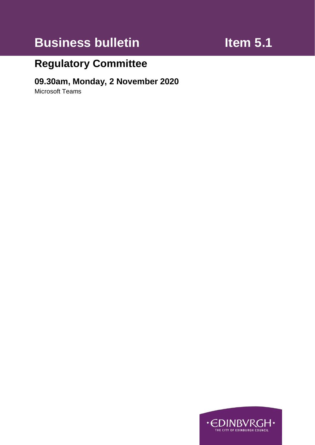# **Business bulletin Item 5.1**

## **Regulatory Committee**

#### **09.30am, Monday, 2 November 2020**

Microsoft Teams

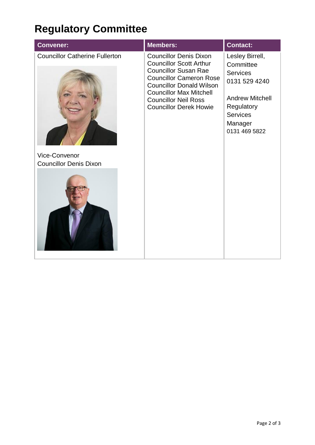## **Regulatory Committee**

| <b>Convener:</b>                                      | <b>Members:</b>                                                                                                                                                                                                                                                       | <b>Contact:</b>                                                                                                                                         |
|-------------------------------------------------------|-----------------------------------------------------------------------------------------------------------------------------------------------------------------------------------------------------------------------------------------------------------------------|---------------------------------------------------------------------------------------------------------------------------------------------------------|
| <b>Councillor Catherine Fullerton</b>                 | <b>Councillor Denis Dixon</b><br><b>Councillor Scott Arthur</b><br><b>Councillor Susan Rae</b><br><b>Councillor Cameron Rose</b><br><b>Councillor Donald Wilson</b><br><b>Councillor Max Mitchell</b><br><b>Councillor Neil Ross</b><br><b>Councillor Derek Howie</b> | Lesley Birrell,<br>Committee<br><b>Services</b><br>0131 529 4240<br><b>Andrew Mitchell</b><br>Regulatory<br><b>Services</b><br>Manager<br>0131 469 5822 |
| <b>Vice-Convenor</b><br><b>Councillor Denis Dixon</b> |                                                                                                                                                                                                                                                                       |                                                                                                                                                         |
|                                                       |                                                                                                                                                                                                                                                                       |                                                                                                                                                         |